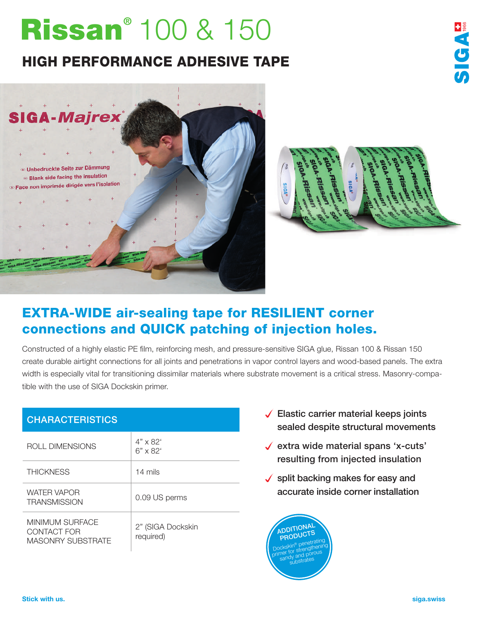# Rissan<sup>®</sup> 100 & 150

## HIGH PERFORMANCE ADHESIVE TAPE





**FIGAT** 

## EXTRA-WIDE air-sealing tape for RESILIENT corner connections and QUICK patching of injection holes.

Constructed of a highly elastic PE film, reinforcing mesh, and pressure-sensitive SIGA glue, Rissan 100 & Rissan 150 create durable airtight connections for all joints and penetrations in vapor control layers and wood-based panels. The extra width is especially vital for transitioning dissimilar materials where substrate movement is a critical stress. Masonry-compatible with the use of SIGA Dockskin primer.

| <b>CHARACTERISTICS</b>                              |                                    |
|-----------------------------------------------------|------------------------------------|
| ROLL DIMENSIONS                                     | $4" \times 82'$<br>$6" \times 82'$ |
| <b>THICKNESS</b>                                    | 14 mils                            |
| <b>WATER VAPOR</b><br><b>TRANSMISSION</b>           | 0.09 US perms                      |
| MINIMUM SURFACE<br>CONTACT FOR<br>MASONRY SUBSTRATE | 2" (SIGA Dockskin<br>required)     |

- $\sqrt{\phantom{a}}$  Elastic carrier material keeps joints sealed despite structural movements
- $\checkmark$  extra wide material spans 'x-cuts' resulting from injected insulation
- $\checkmark$  split backing makes for easy and accurate inside corner installation